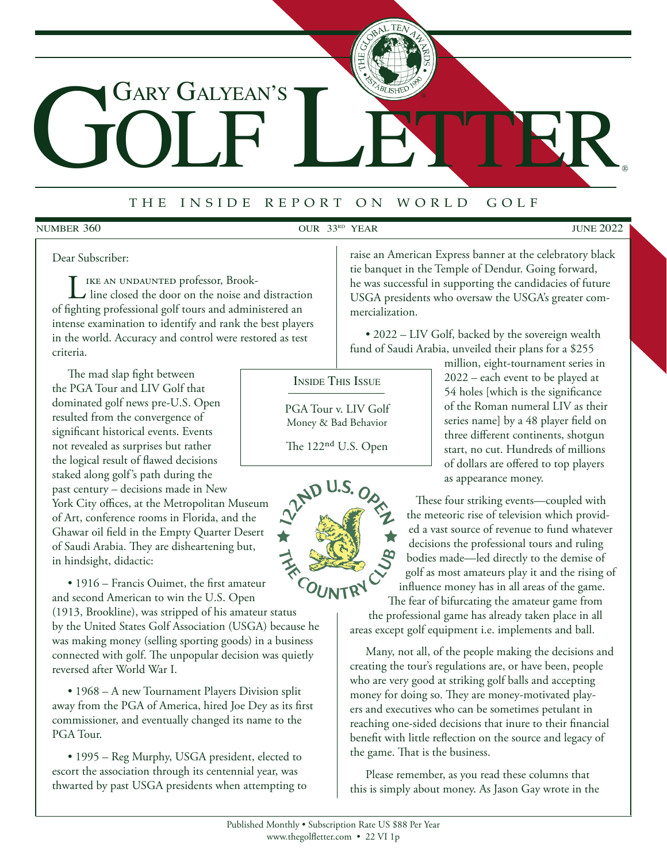# GOLF LETTER Gary Galyean's

# <sup>t</sup> <sup>h</sup> e i <sup>n</sup> <sup>s</sup> <sup>i</sup> <sup>d</sup> e r <sup>e</sup> <sup>p</sup> <sup>o</sup> <sup>r</sup> t o n w <sup>o</sup> <sup>r</sup> <sup>l</sup> d g <sup>o</sup> <sup>l</sup> <sup>f</sup>

# **NUMBER 360**

OUR 33<sup>RD</sup> YEAR JUNE 2022

®

Dear Subscriber:

IKE AN UNDAUNTED professor, Brookline closed the door on the noise and distraction of fighting professional golf tours and administered an intense examination to identify and rank the best players in the world. Accuracy and control were restored as test criteria.

The mad slap fight between the PGA Tour and LIV Golf that dominated golf news pre-U.S. Open resulted from the convergence of significant historical events. Events not revealed as surprises but rather the logical result of flawed decisions staked along golf's path during the past century – decisions made in New

York City offices, at the Metropolitan Museum of Art, conference rooms in Florida, and the Ghawar oil field in the Empty Quarter Desert of Saudi Arabia. They are disheartening but, in hindsight, didactic:

• 1916 – Francis Ouimet, the first amateur and second American to win the U.S. Open (1913, Brookline), was stripped of his amateur status by the United States Golf Association (USGA) because he was making money (selling sporting goods) in a business connected with golf. The unpopular decision was quietly reversed after World War I.

• 1968 – A new Tournament Players Division split away from the PGA of America, hired Joe Dey as its first commissioner, and eventually changed its name to the PGA Tour.

• 1995 – Reg Murphy, USGA president, elected to escort the association through its centennial year, was thwarted by past USGA presidents when attempting to raise an American Express banner at the celebratory black tie banquet in the Temple of Dendur. Going forward, he was successful in supporting the candidacies of future USGA presidents who oversaw the USGA's greater commercialization.

• 2022 – LIV Golf, backed by the sovereign wealth fund of Saudi Arabia, unveiled their plans for a \$255

Inside This Issue

PGA Tour v. LIV Golf Money & Bad Behavior

The 122nd U.S. Open



million, eight-tournament series in 2022 – each event to be played at 54 holes [which is the significance of the Roman numeral LIV as their series name] by a 48 player field on three different continents, shotgun start, no cut. Hundreds of millions of dollars are offered to top players as appearance money.

These four striking events—coupled with the meteoric rise of television which provided a vast source of revenue to fund whatever decisions the professional tours and ruling bodies made—led directly to the demise of golf as most amateurs play it and the rising of influence money has in all areas of the game. The fear of bifurcating the amateur game from

the professional game has already taken place in all areas except golf equipment i.e. implements and ball.

Many, not all, of the people making the decisions and creating the tour's regulations are, or have been, people who are very good at striking golf balls and accepting money for doing so. They are money-motivated players and executives who can be sometimes petulant in reaching one-sided decisions that inure to their financial benefit with little reflection on the source and legacy of the game. That is the business.

Please remember, as you read these columns that this is simply about money. As Jason Gay wrote in the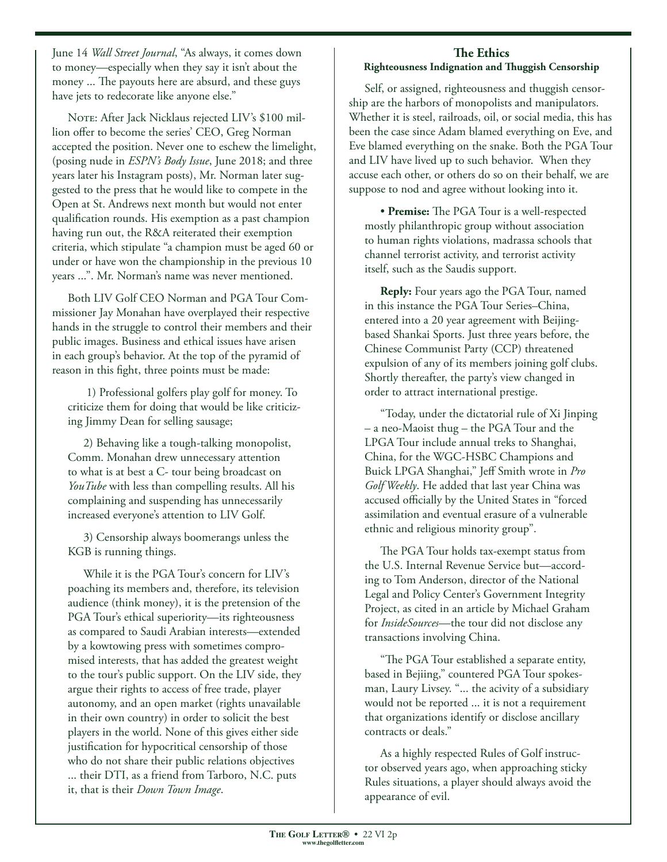June 14 *Wall Street Journal*, "As always, it comes down to money—especially when they say it isn't about the money ... The payouts here are absurd, and these guys have jets to redecorate like anyone else."

NOTE: After Jack Nicklaus rejected LIV's \$100 million offer to become the series' CEO, Greg Norman accepted the position. Never one to eschew the limelight, (posing nude in *ESPN's Body Issue*, June 2018; and three years later his Instagram posts), Mr. Norman later suggested to the press that he would like to compete in the Open at St. Andrews next month but would not enter qualification rounds. His exemption as a past champion having run out, the R&A reiterated their exemption criteria, which stipulate "a champion must be aged 60 or under or have won the championship in the previous 10 years ...". Mr. Norman's name was never mentioned.

Both LIV Golf CEO Norman and PGA Tour Commissioner Jay Monahan have overplayed their respective hands in the struggle to control their members and their public images. Business and ethical issues have arisen in each group's behavior. At the top of the pyramid of reason in this fight, three points must be made:

 1) Professional golfers play golf for money. To criticize them for doing that would be like criticizing Jimmy Dean for selling sausage;

2) Behaving like a tough-talking monopolist, Comm. Monahan drew unnecessary attention to what is at best a C- tour being broadcast on *YouTube* with less than compelling results. All his complaining and suspending has unnecessarily increased everyone's attention to LIV Golf.

3) Censorship always boomerangs unless the KGB is running things.

While it is the PGA Tour's concern for LIV's poaching its members and, therefore, its television audience (think money), it is the pretension of the PGA Tour's ethical superiority—its righteousness as compared to Saudi Arabian interests—extended by a kowtowing press with sometimes compromised interests, that has added the greatest weight to the tour's public support. On the LIV side, they argue their rights to access of free trade, player autonomy, and an open market (rights unavailable in their own country) in order to solicit the best players in the world. None of this gives either side justification for hypocritical censorship of those who do not share their public relations objectives ... their DTI, as a friend from Tarboro, N.C. puts it, that is their *Down Town Image*.

## **The Ethics Righteousness Indignation and Thuggish Censorship**

Self, or assigned, righteousness and thuggish censorship are the harbors of monopolists and manipulators. Whether it is steel, railroads, oil, or social media, this has been the case since Adam blamed everything on Eve, and Eve blamed everything on the snake. Both the PGA Tour and LIV have lived up to such behavior. When they accuse each other, or others do so on their behalf, we are suppose to nod and agree without looking into it.

• **Premise:** The PGA Tour is a well-respected mostly philanthropic group without association to human rights violations, madrassa schools that channel terrorist activity, and terrorist activity itself, such as the Saudis support.

**Reply:** Four years ago the PGA Tour, named in this instance the PGA Tour Series–China, entered into a 20 year agreement with Beijingbased Shankai Sports. Just three years before, the Chinese Communist Party (CCP) threatened expulsion of any of its members joining golf clubs. Shortly thereafter, the party's view changed in order to attract international prestige.

"Today, under the dictatorial rule of Xi Jinping – a neo-Maoist thug – the PGA Tour and the LPGA Tour include annual treks to Shanghai, China, for the WGC-HSBC Champions and Buick LPGA Shanghai," Jeff Smith wrote in *Pro Golf Weekly*. He added that last year China was accused officially by the United States in "forced assimilation and eventual erasure of a vulnerable ethnic and religious minority group".

The PGA Tour holds tax-exempt status from the U.S. Internal Revenue Service but—according to Tom Anderson, director of the National Legal and Policy Center's Government Integrity Project, as cited in an article by Michael Graham for *InsideSources*—the tour did not disclose any transactions involving China.

"The PGA Tour established a separate entity, based in Bejiing," countered PGA Tour spokesman, Laury Livsey. "... the acivity of a subsidiary would not be reported ... it is not a requirement that organizations identify or disclose ancillary contracts or deals."

As a highly respected Rules of Golf instructor observed years ago, when approaching sticky Rules situations, a player should always avoid the appearance of evil.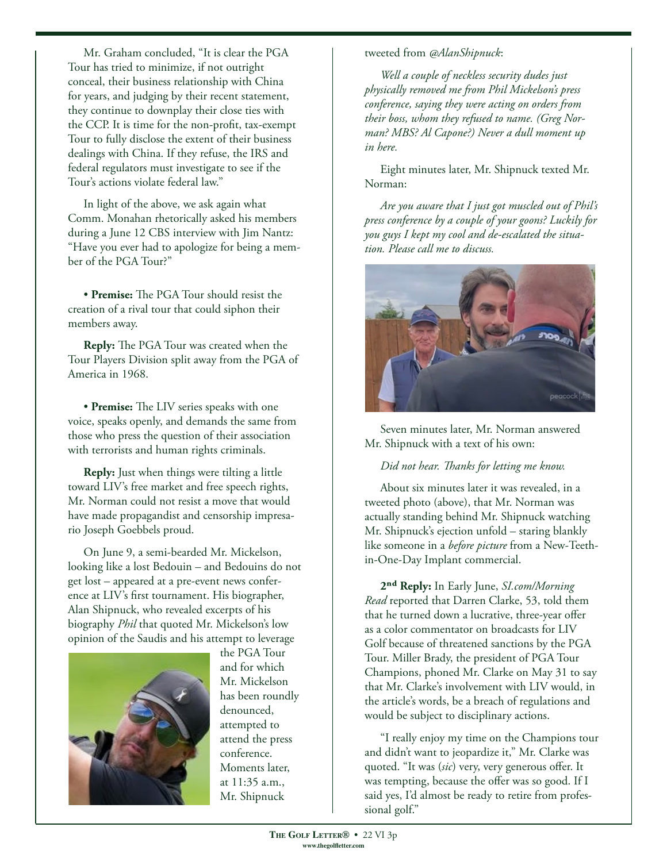Mr. Graham concluded, "It is clear the PGA Tour has tried to minimize, if not outright conceal, their business relationship with China for years, and judging by their recent statement, they continue to downplay their close ties with the CCP. It is time for the non-profit, tax-exempt Tour to fully disclose the extent of their business dealings with China. If they refuse, the IRS and federal regulators must investigate to see if the Tour's actions violate federal law."

In light of the above, we ask again what Comm. Monahan rhetorically asked his members during a June 12 CBS interview with Jim Nantz: "Have you ever had to apologize for being a member of the PGA Tour?"

• **Premise:** The PGA Tour should resist the creation of a rival tour that could siphon their members away.

**Reply:** The PGA Tour was created when the Tour Players Division split away from the PGA of America in 1968.

• **Premise:** The LIV series speaks with one voice, speaks openly, and demands the same from those who press the question of their association with terrorists and human rights criminals.

**Reply:** Just when things were tilting a little toward LIV's free market and free speech rights, Mr. Norman could not resist a move that would have made propagandist and censorship impresario Joseph Goebbels proud.

On June 9, a semi-bearded Mr. Mickelson, looking like a lost Bedouin – and Bedouins do not get lost – appeared at a pre-event news conference at LIV's first tournament. His biographer, Alan Shipnuck, who revealed excerpts of his biography *Phil* that quoted Mr. Mickelson's low opinion of the Saudis and his attempt to leverage



the PGA Tour and for which Mr. Mickelson has been roundly denounced, attempted to attend the press conference. Moments later, at 11:35 a.m., Mr. Shipnuck

# tweeted from *@AlanShipnuck*:

*Well a couple of neckless security dudes just physically removed me from Phil Mickelson's press conference, saying they were acting on orders from their boss, whom they refused to name. (Greg Norman? MBS? Al Capone?) Never a dull moment up in here.*

Eight minutes later, Mr. Shipnuck texted Mr. Norman:

*Are you aware that I just got muscled out of Phil's press conference by a couple of your goons? Luckily for you guys I kept my cool and de-escalated the situation. Please call me to discuss.*



Seven minutes later, Mr. Norman answered Mr. Shipnuck with a text of his own:

# *Did not hear. Thanks for letting me know.*

About six minutes later it was revealed, in a tweeted photo (above), that Mr. Norman was actually standing behind Mr. Shipnuck watching Mr. Shipnuck's ejection unfold – staring blankly like someone in a *before picture* from a New-Teethin-One-Day Implant commercial.

**2nd Reply:** In Early June, *SI.com/Morning Read* reported that Darren Clarke, 53, told them that he turned down a lucrative, three-year offer as a color commentator on broadcasts for LIV Golf because of threatened sanctions by the PGA Tour. Miller Brady, the president of PGA Tour Champions, phoned Mr. Clarke on May 31 to say that Mr. Clarke's involvement with LIV would, in the article's words, be a breach of regulations and would be subject to disciplinary actions.

"I really enjoy my time on the Champions tour and didn't want to jeopardize it," Mr. Clarke was quoted. "It was (*sic*) very, very generous offer. It was tempting, because the offer was so good. If I said yes, I'd almost be ready to retire from professional golf."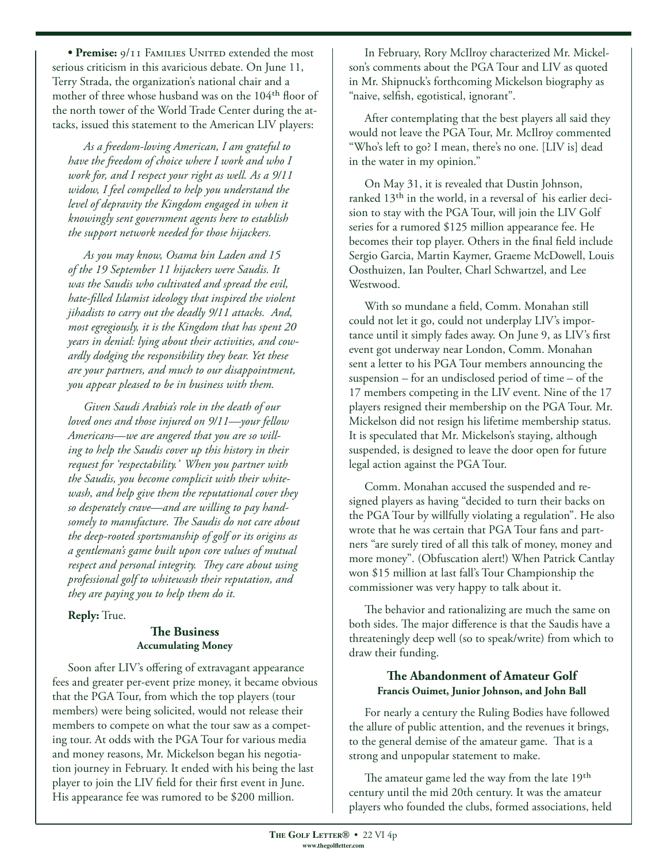• Premise:  $9/11$  FAMILIES UNITED extended the most serious criticism in this avaricious debate. On June 11, Terry Strada, the organization's national chair and a mother of three whose husband was on the 104<sup>th</sup> floor of the north tower of the World Trade Center during the attacks, issued this statement to the American LIV players:

*As a freedom-loving American, I am grateful to have the freedom of choice where I work and who I work for, and I respect your right as well. As a 9/11 widow, I feel compelled to help you understand the level of depravity the Kingdom engaged in when it knowingly sent government agents here to establish the support network needed for those hijackers.*

*As you may know, Osama bin Laden and 15 of the 19 September 11 hijackers were Saudis. It was the Saudis who cultivated and spread the evil, hate-filled Islamist ideology that inspired the violent jihadists to carry out the deadly 9/11 attacks. And, most egregiously, it is the Kingdom that has spent 20 years in denial: lying about their activities, and cowardly dodging the responsibility they bear. Yet these are your partners, and much to our disappointment, you appear pleased to be in business with them.*

*Given Saudi Arabia's role in the death of our loved ones and those injured on 9/11—your fellow Americans—we are angered that you are so willing to help the Saudis cover up this history in their request for 'respectability.' When you partner with the Saudis, you become complicit with their whitewash, and help give them the reputational cover they so desperately crave—and are willing to pay handsomely to manufacture. The Saudis do not care about the deep-rooted sportsmanship of golf or its origins as a gentleman's game built upon core values of mutual respect and personal integrity. They care about using professional golf to whitewash their reputation, and they are paying you to help them do it.*

#### **Reply:** True.

### **The Business Accumulating Money**

Soon after LIV's offering of extravagant appearance fees and greater per-event prize money, it became obvious that the PGA Tour, from which the top players (tour members) were being solicited, would not release their members to compete on what the tour saw as a competing tour. At odds with the PGA Tour for various media and money reasons, Mr. Mickelson began his negotiation journey in February. It ended with his being the last player to join the LIV field for their first event in June. His appearance fee was rumored to be \$200 million.

In February, Rory McIlroy characterized Mr. Mickelson's comments about the PGA Tour and LIV as quoted in Mr. Shipnuck's forthcoming Mickelson biography as "naive, selfish, egotistical, ignorant".

After contemplating that the best players all said they would not leave the PGA Tour, Mr. McIlroy commented "Who's left to go? I mean, there's no one. [LIV is] dead in the water in my opinion."

On May 31, it is revealed that Dustin Johnson, ranked 13<sup>th</sup> in the world, in a reversal of his earlier decision to stay with the PGA Tour, will join the LIV Golf series for a rumored \$125 million appearance fee. He becomes their top player. Others in the final field include Sergio Garcia, Martin Kaymer, Graeme McDowell, Louis Oosthuizen, Ian Poulter, Charl Schwartzel, and Lee Westwood.

With so mundane a field, Comm. Monahan still could not let it go, could not underplay LIV's importance until it simply fades away. On June 9, as LIV's first event got underway near London, Comm. Monahan sent a letter to his PGA Tour members announcing the suspension – for an undisclosed period of time – of the 17 members competing in the LIV event. Nine of the 17 players resigned their membership on the PGA Tour. Mr. Mickelson did not resign his lifetime membership status. It is speculated that Mr. Mickelson's staying, although suspended, is designed to leave the door open for future legal action against the PGA Tour.

Comm. Monahan accused the suspended and resigned players as having "decided to turn their backs on the PGA Tour by willfully violating a regulation". He also wrote that he was certain that PGA Tour fans and partners "are surely tired of all this talk of money, money and more money". (Obfuscation alert!) When Patrick Cantlay won \$15 million at last fall's Tour Championship the commissioner was very happy to talk about it.

The behavior and rationalizing are much the same on both sides. The major difference is that the Saudis have a threateningly deep well (so to speak/write) from which to draw their funding.

# **The Abandonment of Amateur Golf Francis Ouimet, Junior Johnson, and John Ball**

For nearly a century the Ruling Bodies have followed the allure of public attention, and the revenues it brings, to the general demise of the amateur game. That is a strong and unpopular statement to make.

The amateur game led the way from the late 19<sup>th</sup> century until the mid 20th century. It was the amateur players who founded the clubs, formed associations, held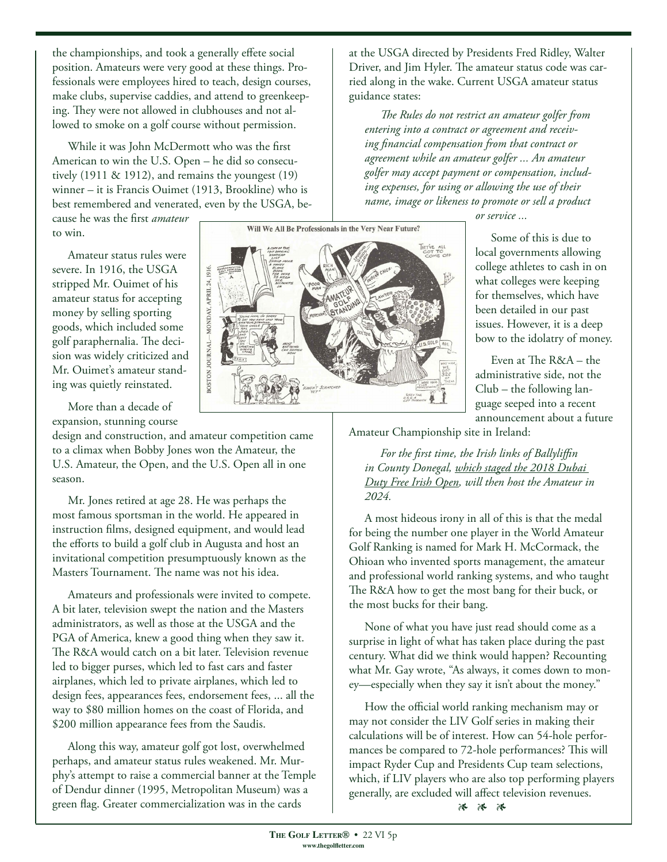the championships, and took a generally effete social position. Amateurs were very good at these things. Professionals were employees hired to teach, design courses, make clubs, supervise caddies, and attend to greenkeeping. They were not allowed in clubhouses and not allowed to smoke on a golf course without permission.

While it was John McDermott who was the first American to win the U.S. Open – he did so consecutively (1911  $\&$  1912), and remains the youngest (19) winner – it is Francis Ouimet (1913, Brookline) who is best remembered and venerated, even by the USGA, be-

cause he was the first *amateur* to win.

Amateur status rules were severe. In 1916, the USGA stripped Mr. Ouimet of his amateur status for accepting money by selling sporting goods, which included some golf paraphernalia. The decision was widely criticized and Mr. Ouimet's amateur standing was quietly reinstated.

More than a decade of expansion, stunning course

design and construction, and amateur competition came to a climax when Bobby Jones won the Amateur, the U.S. Amateur, the Open, and the U.S. Open all in one season.

Mr. Jones retired at age 28. He was perhaps the most famous sportsman in the world. He appeared in instruction films, designed equipment, and would lead the efforts to build a golf club in Augusta and host an invitational competition presumptuously known as the Masters Tournament. The name was not his idea.

Amateurs and professionals were invited to compete. A bit later, television swept the nation and the Masters administrators, as well as those at the USGA and the PGA of America, knew a good thing when they saw it. The R&A would catch on a bit later. Television revenue led to bigger purses, which led to fast cars and faster airplanes, which led to private airplanes, which led to design fees, appearances fees, endorsement fees, ... all the way to \$80 million homes on the coast of Florida, and \$200 million appearance fees from the Saudis.

Along this way, amateur golf got lost, overwhelmed perhaps, and amateur status rules weakened. Mr. Murphy's attempt to raise a commercial banner at the Temple of Dendur dinner (1995, Metropolitan Museum) was a green flag. Greater commercialization was in the cards

at the USGA directed by Presidents Fred Ridley, Walter Driver, and Jim Hyler. The amateur status code was carried along in the wake. Current USGA amateur status guidance states:

*The Rules do not restrict an amateur golfer from entering into a contract or agreement and receiving financial compensation from that contract or agreement while an amateur golfer ... An amateur golfer may accept payment or compensation, including expenses, for using or allowing the use of their name, image or likeness to promote or sell a product* 

Will We All Be Professionals in the Very Near Future? OSTON JOURNAL-MONDAY, APRIL 24, 1916.

*or service ...* 

Some of this is due to local governments allowing college athletes to cash in on what colleges were keeping for themselves, which have been detailed in our past issues. However, it is a deep bow to the idolatry of money.

Even at The R&A – the administrative side, not the Club – the following language seeped into a recent announcement about a future

Amateur Championship site in Ireland:

*For the first time, the Irish links of Ballyliffin in County Donegal, which staged the 2018 Dubai Duty Free Irish Open, will then host the Amateur in 2024.*

A most hideous irony in all of this is that the medal for being the number one player in the World Amateur Golf Ranking is named for Mark H. McCormack, the Ohioan who invented sports management, the amateur and professional world ranking systems, and who taught The R&A how to get the most bang for their buck, or the most bucks for their bang.

None of what you have just read should come as a surprise in light of what has taken place during the past century. What did we think would happen? Recounting what Mr. Gay wrote, "As always, it comes down to money—especially when they say it isn't about the money."

How the official world ranking mechanism may or may not consider the LIV Golf series in making their calculations will be of interest. How can 54-hole performances be compared to 72-hole performances? This will impact Ryder Cup and Presidents Cup team selections, which, if LIV players who are also top performing players generally, are excluded will affect television revenues.

25 25 25

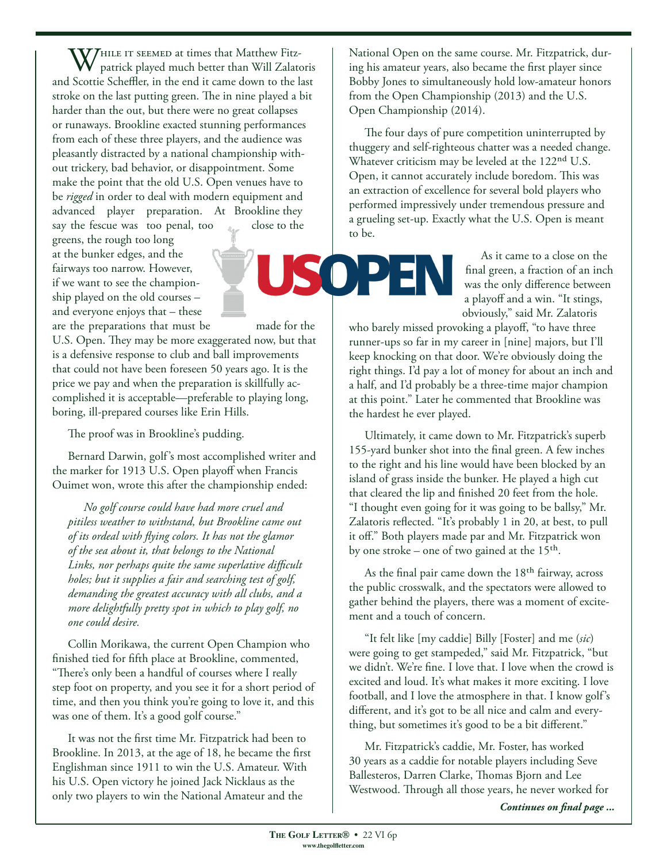$\rm V$ /HILE IT SEEMED at times that Matthew Fitzpatrick played much better than Will Zalatoris and Scottie Scheffler, in the end it came down to the last stroke on the last putting green. The in nine played a bit harder than the out, but there were no great collapses or runaways. Brookline exacted stunning performances from each of these three players, and the audience was pleasantly distracted by a national championship without trickery, bad behavior, or disappointment. Some make the point that the old U.S. Open venues have to be *rigged* in order to deal with modern equipment and advanced player preparation. At Brookline they say the fescue was too penal, too  $\epsilon_{\text{max}}$  close to the

greens, the rough too long at the bunker edges, and the fairways too narrow. However, if we want to see the championship played on the old courses – and everyone enjoys that – these are the preparations that must be made for the

U.S. Open. They may be more exaggerated now, but that is a defensive response to club and ball improvements that could not have been foreseen 50 years ago. It is the price we pay and when the preparation is skillfully accomplished it is acceptable—preferable to playing long, boring, ill-prepared courses like Erin Hills.

The proof was in Brookline's pudding.

Bernard Darwin, golf's most accomplished writer and the marker for 1913 U.S. Open playoff when Francis Ouimet won, wrote this after the championship ended:

*No golf course could have had more cruel and pitiless weather to withstand, but Brookline came out of its ordeal with flying colors. It has not the glamor of the sea about it, that belongs to the National Links, nor perhaps quite the same superlative difficult holes; but it supplies a fair and searching test of golf, demanding the greatest accuracy with all clubs, and a more delightfully pretty spot in which to play golf, no one could desire.*

Collin Morikawa, the current Open Champion who finished tied for fifth place at Brookline, commented, "There's only been a handful of courses where I really step foot on property, and you see it for a short period of time, and then you think you're going to love it, and this was one of them. It's a good golf course."

It was not the first time Mr. Fitzpatrick had been to Brookline. In 2013, at the age of 18, he became the first Englishman since 1911 to win the U.S. Amateur. With his U.S. Open victory he joined Jack Nicklaus as the only two players to win the National Amateur and the

National Open on the same course. Mr. Fitzpatrick, during his amateur years, also became the first player since Bobby Jones to simultaneously hold low-amateur honors from the Open Championship (2013) and the U.S. Open Championship (2014).

The four days of pure competition uninterrupted by thuggery and self-righteous chatter was a needed change. Whatever criticism may be leveled at the 122<sup>nd</sup> U.S. Open, it cannot accurately include boredom. This was an extraction of excellence for several bold players who performed impressively under tremendous pressure and a grueling set-up. Exactly what the U.S. Open is meant to be.

> As it came to a close on the final green, a fraction of an inch was the only difference between a playoff and a win. "It stings, obviously," said Mr. Zalatoris

who barely missed provoking a playoff, "to have three runner-ups so far in my career in [nine] majors, but I'll keep knocking on that door. We're obviously doing the right things. I'd pay a lot of money for about an inch and a half, and I'd probably be a three-time major champion at this point." Later he commented that Brookline was the hardest he ever played.

Ultimately, it came down to Mr. Fitzpatrick's superb 155-yard bunker shot into the final green. A few inches to the right and his line would have been blocked by an island of grass inside the bunker. He played a high cut that cleared the lip and finished 20 feet from the hole. "I thought even going for it was going to be ballsy," Mr. Zalatoris reflected. "It's probably 1 in 20, at best, to pull it off." Both players made par and Mr. Fitzpatrick won by one stroke – one of two gained at the  $15<sup>th</sup>$ .

As the final pair came down the 18<sup>th</sup> fairway, across the public crosswalk, and the spectators were allowed to gather behind the players, there was a moment of excitement and a touch of concern.

"It felt like [my caddie] Billy [Foster] and me (*sic*) were going to get stampeded," said Mr. Fitzpatrick, "but we didn't. We're fine. I love that. I love when the crowd is excited and loud. It's what makes it more exciting. I love football, and I love the atmosphere in that. I know golf's different, and it's got to be all nice and calm and everything, but sometimes it's good to be a bit different."

Mr. Fitzpatrick's caddie, Mr. Foster, has worked 30 years as a caddie for notable players including Seve Ballesteros, Darren Clarke, Thomas Bjorn and Lee Westwood. Through all those years, he never worked for

*Continues on final page ...*

SOPE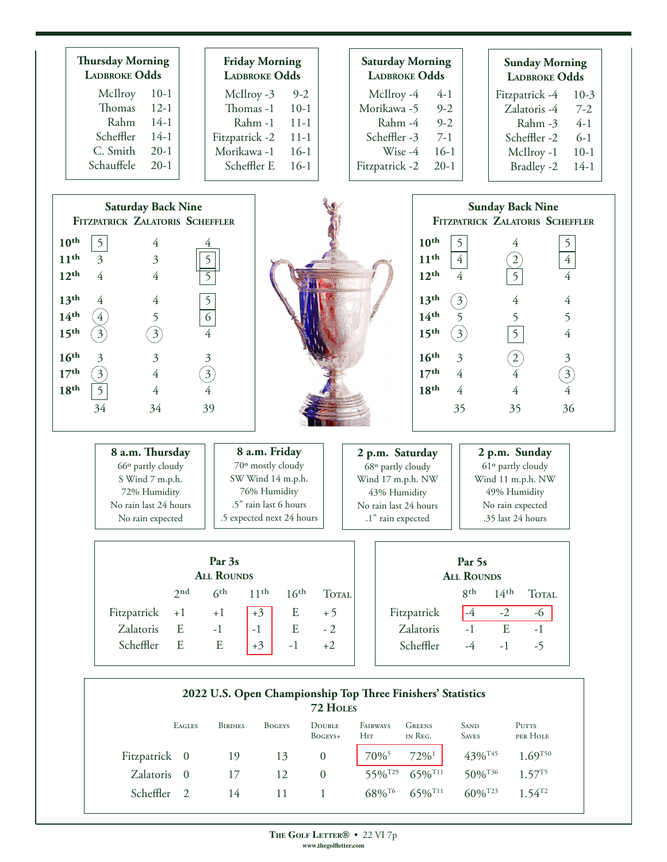